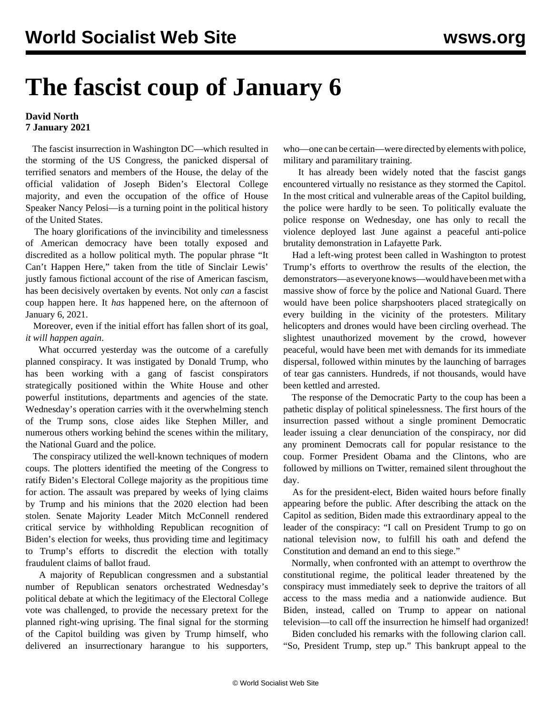## **The fascist coup of January 6**

## **David North 7 January 2021**

 The fascist insurrection in Washington DC—which resulted in the storming of the US Congress, the panicked dispersal of terrified senators and members of the House, the delay of the official validation of Joseph Biden's Electoral College majority, and even the occupation of the office of House Speaker Nancy Pelosi—is a turning point in the political history of the United States.

 The hoary glorifications of the invincibility and timelessness of American democracy have been totally exposed and discredited as a hollow political myth. The popular phrase "It Can't Happen Here," taken from the title of Sinclair Lewis' justly famous fictional account of the rise of American fascism, has been decisively overtaken by events. Not only *can* a fascist coup happen here. It *has* happened here, on the afternoon of January 6, 2021.

 Moreover, even if the initial effort has fallen short of its goal, *it will happen again*.

 What occurred yesterday was the outcome of a carefully planned conspiracy. It was instigated by Donald Trump, who has been working with a gang of fascist conspirators strategically positioned within the White House and other powerful institutions, departments and agencies of the state. Wednesday's operation carries with it the overwhelming stench of the Trump sons, close aides like Stephen Miller, and numerous others working behind the scenes within the military, the National Guard and the police.

 The conspiracy utilized the well-known techniques of modern coups. The plotters identified the meeting of the Congress to ratify Biden's Electoral College majority as the propitious time for action. The assault was prepared by weeks of lying claims by Trump and his minions that the 2020 election had been stolen. Senate Majority Leader Mitch McConnell rendered critical service by withholding Republican recognition of Biden's election for weeks, thus providing time and legitimacy to Trump's efforts to discredit the election with totally fraudulent claims of ballot fraud.

 A majority of Republican congressmen and a substantial number of Republican senators orchestrated Wednesday's political debate at which the legitimacy of the Electoral College vote was challenged, to provide the necessary pretext for the planned right-wing uprising. The final signal for the storming of the Capitol building was given by Trump himself, who delivered an insurrectionary harangue to his supporters, who—one can be certain—were directed by elements with police, military and paramilitary training.

 It has already been widely noted that the fascist gangs encountered virtually no resistance as they stormed the Capitol. In the most critical and vulnerable areas of the Capitol building, the police were hardly to be seen. To politically evaluate the police response on Wednesday, one has only to recall the violence deployed last June against a peaceful anti-police brutality demonstration in Lafayette Park.

 Had a left-wing protest been called in Washington to protest Trump's efforts to overthrow the results of the election, the demonstrators—as everyone knows—would have been met with a massive show of force by the police and National Guard. There would have been police sharpshooters placed strategically on every building in the vicinity of the protesters. Military helicopters and drones would have been circling overhead. The slightest unauthorized movement by the crowd, however peaceful, would have been met with demands for its immediate dispersal, followed within minutes by the launching of barrages of tear gas cannisters. Hundreds, if not thousands, would have been kettled and arrested.

 The response of the Democratic Party to the coup has been a pathetic display of political spinelessness. The first hours of the insurrection passed without a single prominent Democratic leader issuing a clear denunciation of the conspiracy, nor did any prominent Democrats call for popular resistance to the coup. Former President Obama and the Clintons, who are followed by millions on Twitter, remained silent throughout the day.

 As for the president-elect, Biden waited hours before finally appearing before the public. After describing the attack on the Capitol as sedition, Biden made this extraordinary appeal to the leader of the conspiracy: "I call on President Trump to go on national television now, to fulfill his oath and defend the Constitution and demand an end to this siege."

 Normally, when confronted with an attempt to overthrow the constitutional regime, the political leader threatened by the conspiracy must immediately seek to deprive the traitors of all access to the mass media and a nationwide audience. But Biden, instead, called on Trump to appear on national television—to call off the insurrection he himself had organized!

 Biden concluded his remarks with the following clarion call. "So, President Trump, step up." This bankrupt appeal to the